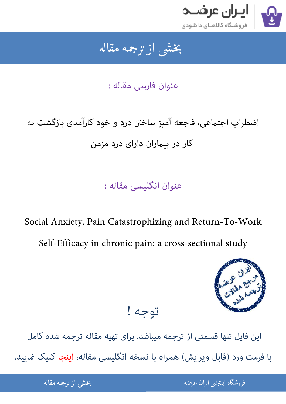

## بخشى از ترجمه مقاله شی از تر بخشی از :

عنوان فارسی مقاله :

اضطراب اجتماعی، فاجعه آمیز ساختن درد و خود کارآمدی بازگشت به کار در بیران دارای درد مزمن

عنوان انگلیسی مقاله :

Social Anxiety, Pain Catastrophizing and Return-To-Work Self-Efficacy in chronic pain: a cross-sectional study



[این فایل تنها قسمتی از ترجمه میباشد. برای تهیه مقاله ترجمه شده کامل](http://iranarze.ir/social+anxiety+catastrophizing+return+chronic+cross+sectional)  با فرمت ورد (قابل ویرایش) همراه با نسخه انگلیسی مقاله، اینجا کلیک غایید.

توجه !

.<br>ه المواقع المواقع المواقع المواقع المواقع المواقع المواقع المواقع المواقع المواقع المواقع المواقع المواقع المو ֦֧֧֚֚֚֚֚֚֚֚֚֚֚֚֚֚֚֚֚֚֚֚֚֬֡֡֡֡֡֡֡֡֡֡֬֓֡֬֝֝֓֡ فروشگاه اینترنتی ایر

ان عرضه مقاله از ترجمه مقاله استخدام استخدام العامل العامل العامل العامل العامل العامل العامل العامل العامل ال